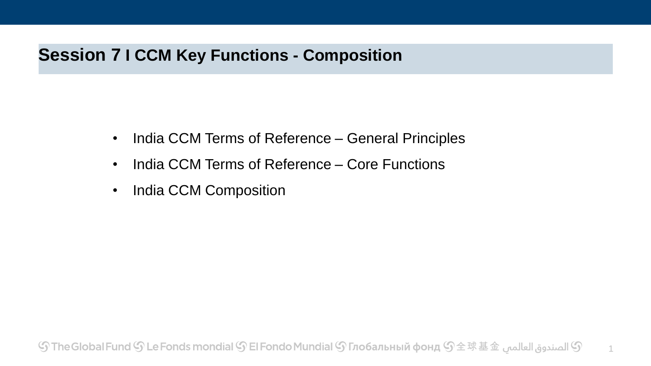### **Session 7 I CCM Key Functions - Composition**

- India CCM Terms of Reference General Principles
- India CCM Terms of Reference Core Functions
- India CCM Composition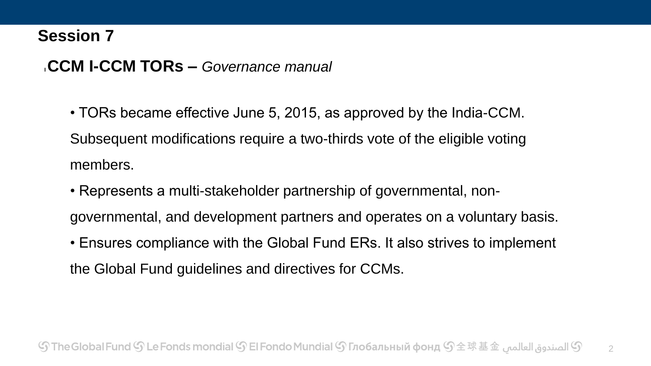#### **<sup>I</sup>CCM I-CCM TORs –** *Governance manual*

• TORs became effective June 5, 2015, as approved by the India-CCM. Subsequent modifications require a two-thirds vote of the eligible voting members.

- Represents a multi-stakeholder partnership of governmental, nongovernmental, and development partners and operates on a voluntary basis.
- Ensures compliance with the Global Fund ERs. It also strives to implement the Global Fund guidelines and directives for CCMs.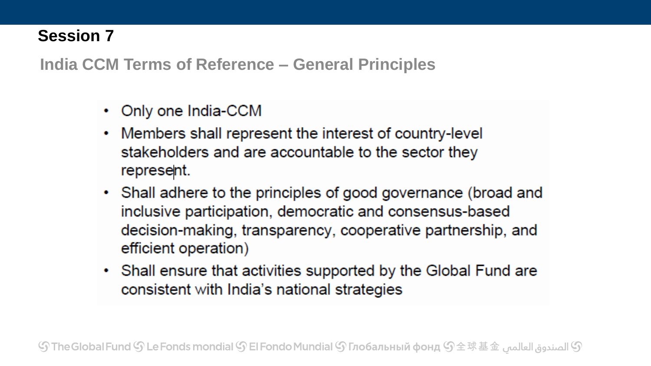**India CCM Terms of Reference – General Principles**

- Only one India-CCM
- Members shall represent the interest of country-level stakeholders and are accountable to the sector they represent.
- Shall adhere to the principles of good governance (broad and inclusive participation, democratic and consensus-based decision-making, transparency, cooperative partnership, and efficient operation)
- Shall ensure that activities supported by the Global Fund are consistent with India's national strategies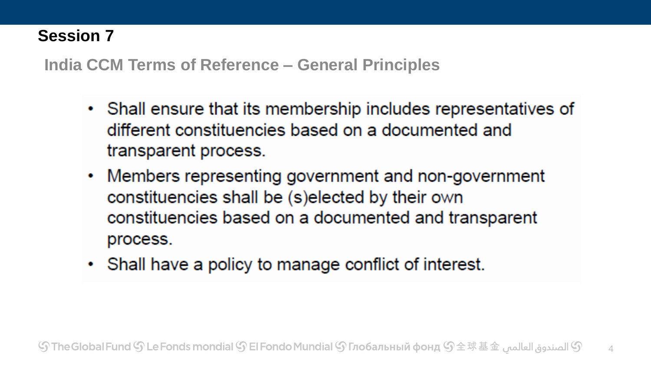**India CCM Terms of Reference – General Principles**

- Shall ensure that its membership includes representatives of different constituencies based on a documented and transparent process.
- Members representing government and non-government ۰ constituencies shall be (s)elected by their own constituencies based on a documented and transparent process.
- Shall have a policy to manage conflict of interest.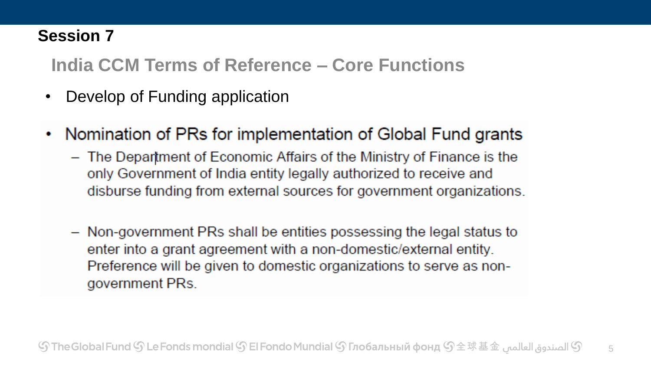**India CCM Terms of Reference – Core Functions**

- Develop of Funding application
- Nomination of PRs for implementation of Global Fund grants
	- The Department of Economic Affairs of the Ministry of Finance is the only Government of India entity legally authorized to receive and disburse funding from external sources for government organizations.
	- Non-government PRs shall be entities possessing the legal status to enter into a grant agreement with a non-domestic/external entity. Preference will be given to domestic organizations to serve as nongovernment PRs.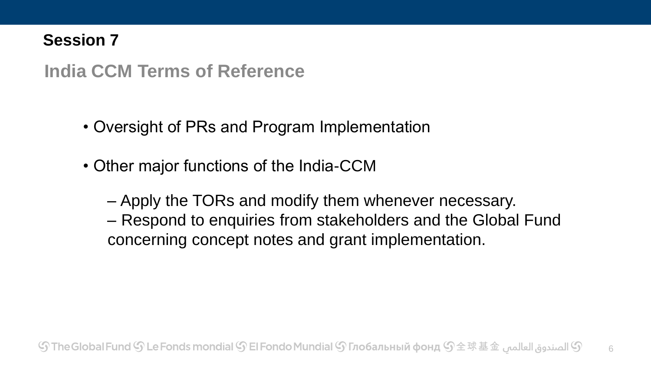**India CCM Terms of Reference** 

- Oversight of PRs and Program Implementation
- Other major functions of the India-CCM
	- Apply the TORs and modify them whenever necessary. – Respond to enquiries from stakeholders and the Global Fund concerning concept notes and grant implementation.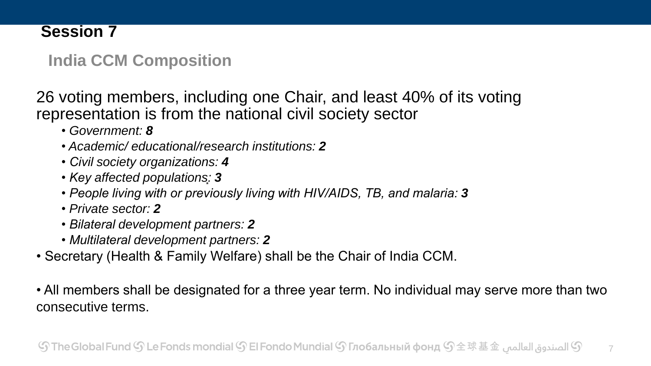## **India CCM Composition**

26 voting members, including one Chair, and least 40% of its voting representation is from the national civil society sector

- *Government: 8*
- *Academic/ educational/research institutions: 2*
- *Civil society organizations: 4*
- *Key affected populations͙: 3*
- *People living with or previously living with HIV/AIDS, TB, and malaria: 3*
- *Private sector: 2*
- *Bilateral development partners: 2*
- *Multilateral development partners: 2*
- Secretary (Health & Family Welfare) shall be the Chair of India CCM.
- All members shall be designated for a three year term. No individual may serve more than two consecutive terms.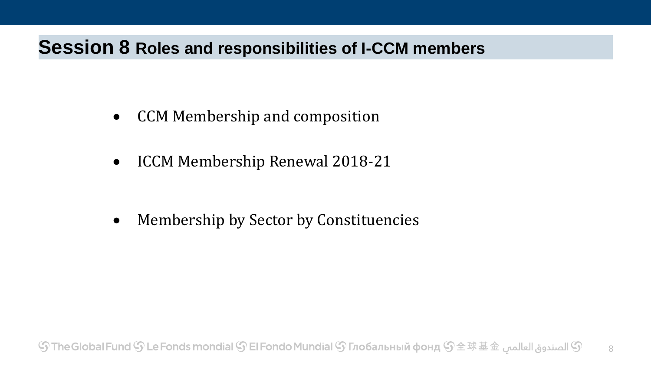## **Session 8 Roles and responsibilities of I-CCM members**

- CCM Membership and composition
- ICCM Membership Renewal 2018-21

Membership by Sector by Constituencies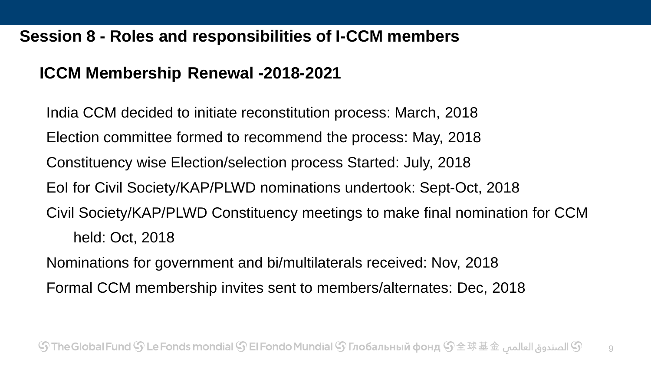#### **Session 8 - Roles and responsibilities of I-CCM members**

### **ICCM Membership Renewal -2018-2021**

India CCM decided to initiate reconstitution process: March, 2018 Election committee formed to recommend the process: May, 2018 Constituency wise Election/selection process Started: July, 2018 EoI for Civil Society/KAP/PLWD nominations undertook: Sept-Oct, 2018 Civil Society/KAP/PLWD Constituency meetings to make final nomination for CCM held: Oct, 2018 Nominations for government and bi/multilaterals received: Nov, 2018 Formal CCM membership invites sent to members/alternates: Dec, 2018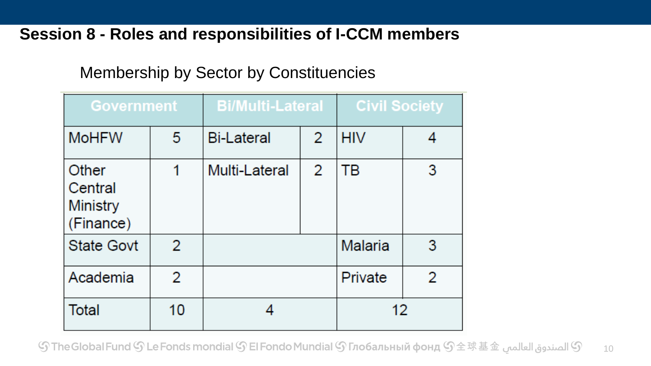#### **Session 8 - Roles and responsibilities of I-CCM members**

### Membership by Sector by Constituencies

| <b>Government</b>                         |    | <b>Bi/Multi-Lateral</b> |   | <b>Civil Society</b> |   |
|-------------------------------------------|----|-------------------------|---|----------------------|---|
| <b>MoHFW</b>                              | 5  | <b>Bi-Lateral</b>       | 2 | <b>HIV</b>           |   |
| Other<br>Central<br>Ministry<br>(Finance) | 1  | Multi-Lateral           | 2 | ТB                   | 3 |
| <b>State Govt</b>                         | 2  |                         |   | Malaria              | 3 |
| Academia                                  | 2  |                         |   | Private              | 2 |
| <b>Total</b>                              | 10 |                         |   | 12                   |   |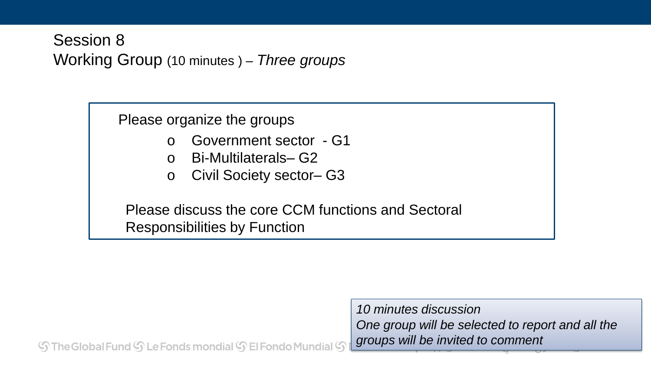## Session 8 Working Group (10 minutes ) – *Three groups*

Please organize the groups

- o Government sector G1
- o Bi-Multilaterals– G2
- o Civil Society sector– G3

Please discuss the core CCM functions and Sectoral Responsibilities by Function

*10 minutes discussion One group will be selected to report and all the groups will be invited to comment*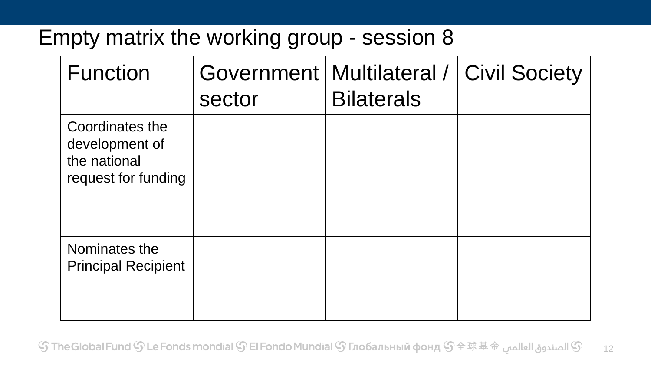# Empty matrix the working group - session 8

| <b>Function</b>                                                          | sector | Government   Multilateral /<br><b>Bilaterals</b> | <b>Civil Society</b> |
|--------------------------------------------------------------------------|--------|--------------------------------------------------|----------------------|
| Coordinates the<br>development of<br>the national<br>request for funding |        |                                                  |                      |
| Nominates the<br><b>Principal Recipient</b>                              |        |                                                  |                      |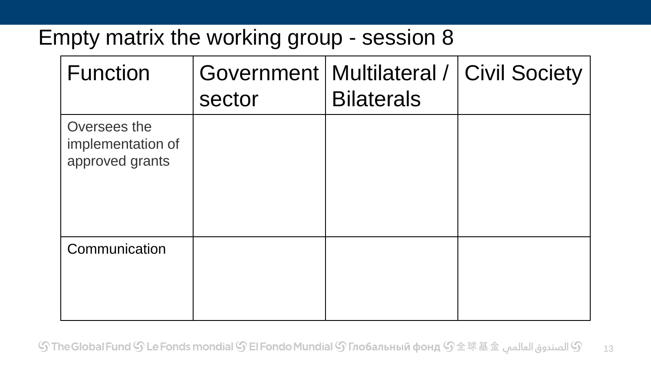# Empty matrix the working group - session 8

| <b>Function</b>                                      | Government<br>sector | Multilateral /  <br><b>Bilaterals</b> | <b>Civil Society</b> |
|------------------------------------------------------|----------------------|---------------------------------------|----------------------|
| Oversees the<br>implementation of<br>approved grants |                      |                                       |                      |
| Communication                                        |                      |                                       |                      |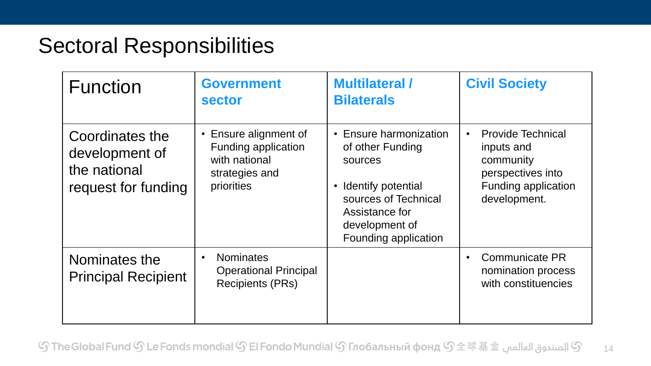# Sectoral Responsibilities

| <b>Function</b>                                                          | <b>Government</b><br><b>sector</b>                                                            | <b>Multilateral /</b><br><b>Bilaterals</b>                                                                                                                      | <b>Civil Society</b>                                                                                                                |
|--------------------------------------------------------------------------|-----------------------------------------------------------------------------------------------|-----------------------------------------------------------------------------------------------------------------------------------------------------------------|-------------------------------------------------------------------------------------------------------------------------------------|
| Coordinates the<br>development of<br>the national<br>request for funding | • Ensure alignment of<br>Funding application<br>with national<br>strategies and<br>priorities | • Ensure harmonization<br>of other Funding<br>sources<br>Identify potential<br>sources of Technical<br>Assistance for<br>development of<br>Founding application | <b>Provide Technical</b><br>$\bullet$<br>inputs and<br>community<br>perspectives into<br><b>Funding application</b><br>development. |
| Nominates the<br><b>Principal Recipient</b>                              | <b>Nominates</b><br>$\bullet$<br><b>Operational Principal</b><br><b>Recipients (PRs)</b>      |                                                                                                                                                                 | <b>Communicate PR</b><br>$\bullet$<br>nomination process<br>with constituencies                                                     |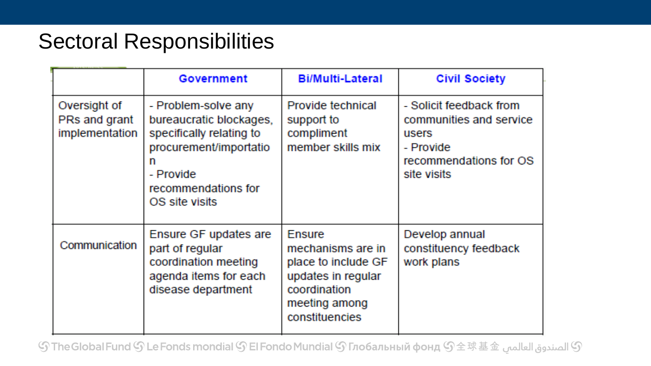## Sectoral Responsibilities

|                                                 | Government                                                                                                                                                      | <b>Bi/Multi-Lateral</b>                                                                                                            | <b>Civil Society</b>                                                                                              |
|-------------------------------------------------|-----------------------------------------------------------------------------------------------------------------------------------------------------------------|------------------------------------------------------------------------------------------------------------------------------------|-------------------------------------------------------------------------------------------------------------------|
| Oversight of<br>PRs and grant<br>implementation | - Problem-solve any<br>bureaucratic blockages,<br>specifically relating to<br>procurement/importatio<br>m<br>- Provide<br>recommendations for<br>OS site visits | Provide technical<br>support to<br>compliment<br>member skills mix                                                                 | - Solicit feedback from<br>communities and service<br>users<br>- Provide<br>recommendations for OS<br>site visits |
| Communication                                   | Ensure GF updates are<br>part of regular<br>coordination meeting<br>agenda items for each<br>disease department                                                 | <b>Ensure</b><br>mechanisms are in<br>place to include GF<br>updates in regular<br>coordination<br>meeting among<br>constituencies | Develop annual<br>constituency feedback<br>work plans                                                             |

் பெடு The Global Fund  $\Im$  Le Fonds mondial  $\Im$  El Fondo Mundial  $\Im$  Глобальный фонд  $\Im$   $\pm$  球 基 $\pm$   $\Im$  الصندوق العالمبي  $\Im$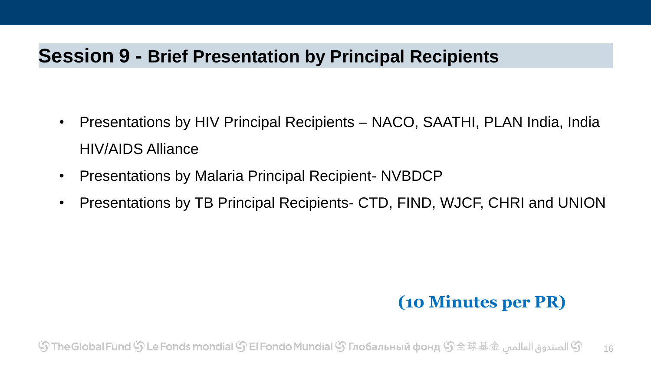## **Session 9 - Brief Presentation by Principal Recipients**

- Presentations by HIV Principal Recipients NACO, SAATHI, PLAN India, India HIV/AIDS Alliance
- Presentations by Malaria Principal Recipient- NVBDCP
- Presentations by TB Principal Recipients- CTD, FIND, WJCF, CHRI and UNION

## **(10 Minutes per PR)**